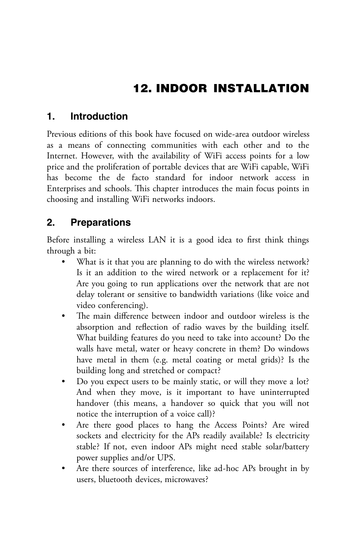# 12. INDOOR INSTALLATION

### **1. Introduction**

Previous editions of this book have focused on wide-area outdoor wireless as a means of connecting communities with each other and to the Internet. However, with the availability of WiFi access points for a low price and the proliferation of portable devices that are WiFi capable, WiFi has become the de facto standard for indoor network access in Enterprises and schools. This chapter introduces the main focus points in choosing and installing WiFi networks indoors.

## **2. Preparations**

Before installing a wireless LAN it is a good idea to first think things through a bit:

- What is it that you are planning to do with the wireless network? Is it an addition to the wired network or a replacement for it? Are you going to run applications over the network that are not delay tolerant or sensitive to bandwidth variations (like voice and video conferencing).
- The main difference between indoor and outdoor wireless is the absorption and reflection of radio waves by the building itself. What building features do you need to take into account? Do the walls have metal, water or heavy concrete in them? Do windows have metal in them (e.g. metal coating or metal grids)? Is the building long and stretched or compact?
- Do you expect users to be mainly static, or will they move a lot? And when they move, is it important to have uninterrupted handover (this means, a handover so quick that you will not notice the interruption of a voice call)?
- Are there good places to hang the Access Points? Are wired sockets and electricity for the APs readily available? Is electricity stable? If not, even indoor APs might need stable solar/battery power supplies and/or UPS.
- Are there sources of interference, like ad-hoc APs brought in by users, bluetooth devices, microwaves?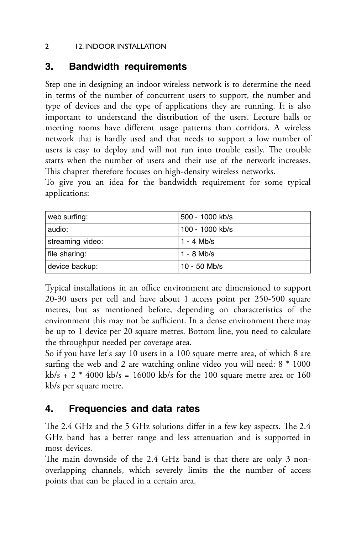#### 2 12. INDOOR INSTALLATION

### **3. Bandwidth requirements**

Step one in designing an indoor wireless network is to determine the need in terms of the number of concurrent users to support, the number and type of devices and the type of applications they are running. It is also important to understand the distribution of the users. Lecture halls or meeting rooms have different usage patterns than corridors. A wireless network that is hardly used and that needs to support a low number of users is easy to deploy and will not run into trouble easily. The trouble starts when the number of users and their use of the network increases. This chapter therefore focuses on high-density wireless networks.

To give you an idea for the bandwidth requirement for some typical applications:

| web surfing:     | 500 - 1000 kb/s |
|------------------|-----------------|
| audio:           | 100 - 1000 kb/s |
| streaming video: | 1 - 4 Mb/s      |
| file sharing:    | $1 - 8$ Mb/s    |
| device backup:   | $10 - 50$ Mb/s  |

Typical installations in an office environment are dimensioned to support 20-30 users per cell and have about 1 access point per 250-500 square metres, but as mentioned before, depending on characteristics of the environment this may not be sufficient. In a dense environment there may be up to 1 device per 20 square metres. Bottom line, you need to calculate the throughput needed per coverage area.

So if you have let's say 10 users in a 100 square metre area, of which 8 are surfing the web and 2 are watching online video you will need: 8 \* 1000  $kb/s + 2 * 4000 kb/s = 16000 kb/s$  for the 100 square metre area or 160 kb/s per square metre.

### **4. Frequencies and data rates**

The 2.4 GHz and the 5 GHz solutions differ in a few key aspects. The 2.4 GHz band has a better range and less attenuation and is supported in most devices.

The main downside of the 2.4 GHz band is that there are only 3 nonoverlapping channels, which severely limits the the number of access points that can be placed in a certain area.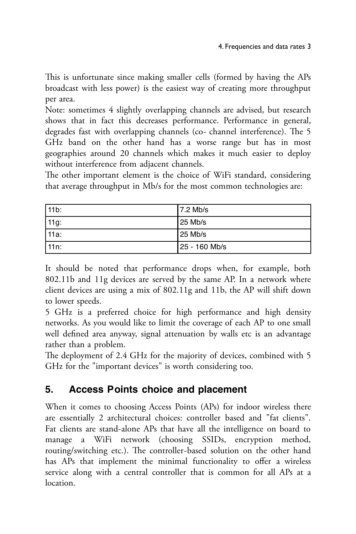This is unfortunate since making smaller cells (formed by having the APs broadcast with less power) is the easiest way of creating more throughput per area.

Note: sometimes 4 slightly overlapping channels are advised, but research shows that in fact this decreases performance. Performance in general, degrades fast with overlapping channels (co- channel interference). The 5 GHz band on the other hand has a worse range but has in most geographies around 20 channels which makes it much easier to deploy without interference from adjacent channels.

The other important element is the choice of WiFi standard, considering that average throughput in Mb/s for the most common technologies are:

| l 11b: | 7.2 Mb/s        |
|--------|-----------------|
| 11g:   | l 25 Mb/s       |
| l 11a: | l 25 Mb/s       |
| l 11n: | l 25 - 160 Mb/s |

It should be noted that performance drops when, for example, both 802.11b and 11g devices are served by the same AP. In a network where client devices are using a mix of 802.11g and 11b, the AP will shift down to lower speeds.

5 GHz is a preferred choice for high performance and high density networks. As you would like to limit the coverage of each AP to one small well defined area anyway, signal attenuation by walls etc is an advantage rather than a problem.

The deployment of 2.4 GHz for the majority of devices, combined with 5 GHz for the "important devices" is worth considering too.

# **5. Access Points choice and placement**

When it comes to choosing Access Points (APs) for indoor wireless there are essentially 2 architectural choices: controller based and "fat clients". Fat clients are stand-alone APs that have all the intelligence on board to manage a WiFi network (choosing SSIDs, encryption method, routing/switching etc.). The controller-based solution on the other hand has APs that implement the minimal functionality to offer a wireless service along with a central controller that is common for all APs at a location.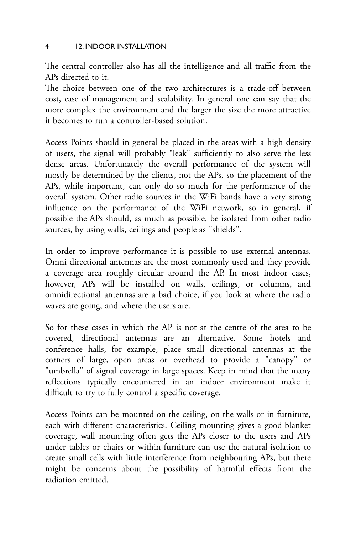#### 4 12. INDOOR INSTALLATION

The central controller also has all the intelligence and all traffic from the APs directed to it.

The choice between one of the two architectures is a trade-off between cost, ease of management and scalability. In general one can say that the more complex the environment and the larger the size the more attractive it becomes to run a controller-based solution.

Access Points should in general be placed in the areas with a high density of users, the signal will probably "leak" sufficiently to also serve the less dense areas. Unfortunately the overall performance of the system will mostly be determined by the clients, not the APs, so the placement of the APs, while important, can only do so much for the performance of the overall system. Other radio sources in the WiFi bands have a very strong influence on the performance of the WiFi network, so in general, if possible the APs should, as much as possible, be isolated from other radio sources, by using walls, ceilings and people as "shields".

In order to improve performance it is possible to use external antennas. Omni directional antennas are the most commonly used and they provide a coverage area roughly circular around the AP. In most indoor cases, however, APs will be installed on walls, ceilings, or columns, and omnidirectional antennas are a bad choice, if you look at where the radio waves are going, and where the users are.

So for these cases in which the AP is not at the centre of the area to be covered, directional antennas are an alternative. Some hotels and conference halls, for example, place small directional antennas at the corners of large, open areas or overhead to provide a "canopy" or "umbrella" of signal coverage in large spaces. Keep in mind that the many reflections typically encountered in an indoor environment make it difficult to try to fully control a specific coverage.

Access Points can be mounted on the ceiling, on the walls or in furniture, each with different characteristics. Ceiling mounting gives a good blanket coverage, wall mounting often gets the APs closer to the users and APs under tables or chairs or within furniture can use the natural isolation to create small cells with little interference from neighbouring APs, but there might be concerns about the possibility of harmful effects from the radiation emitted.